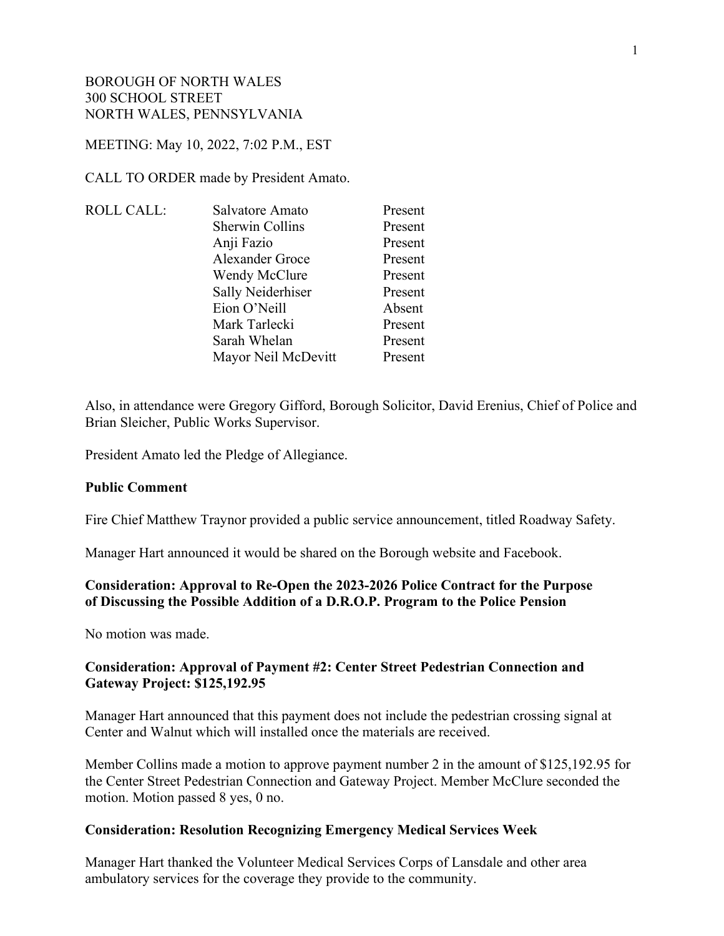#### MEETING: May 10, 2022, 7:02 P.M., EST

CALL TO ORDER made by President Amato.

| Salvatore Amato     | Present |
|---------------------|---------|
| Sherwin Collins     | Present |
| Anji Fazio          | Present |
| Alexander Groce     | Present |
| Wendy McClure       | Present |
| Sally Neiderhiser   | Present |
| Eion O'Neill        | Absent  |
| Mark Tarlecki       | Present |
| Sarah Whelan        | Present |
| Mayor Neil McDevitt | Present |
|                     |         |

Also, in attendance were Gregory Gifford, Borough Solicitor, David Erenius, Chief of Police and Brian Sleicher, Public Works Supervisor.

President Amato led the Pledge of Allegiance.

#### **Public Comment**

Fire Chief Matthew Traynor provided a public service announcement, titled Roadway Safety.

Manager Hart announced it would be shared on the Borough website and Facebook.

## **Consideration: Approval to Re-Open the 2023-2026 Police Contract for the Purpose of Discussing the Possible Addition of a D.R.O.P. Program to the Police Pension**

No motion was made.

### **Consideration: Approval of Payment #2: Center Street Pedestrian Connection and Gateway Project: \$125,192.95**

Manager Hart announced that this payment does not include the pedestrian crossing signal at Center and Walnut which will installed once the materials are received.

Member Collins made a motion to approve payment number 2 in the amount of \$125,192.95 for the Center Street Pedestrian Connection and Gateway Project. Member McClure seconded the motion. Motion passed 8 yes, 0 no.

#### **Consideration: Resolution Recognizing Emergency Medical Services Week**

Manager Hart thanked the Volunteer Medical Services Corps of Lansdale and other area ambulatory services for the coverage they provide to the community.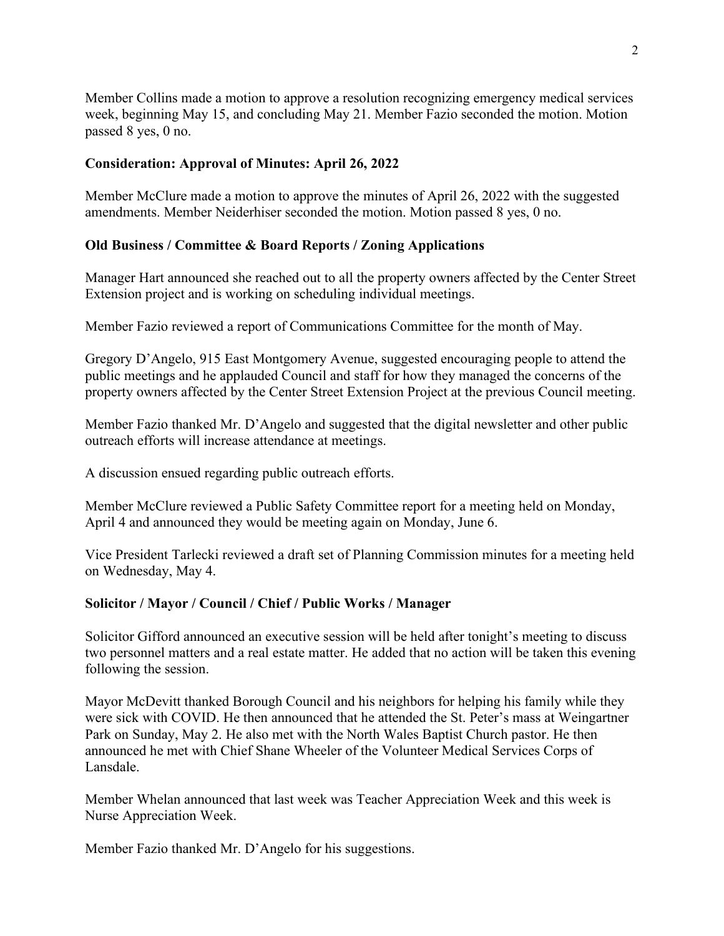Member Collins made a motion to approve a resolution recognizing emergency medical services week, beginning May 15, and concluding May 21. Member Fazio seconded the motion. Motion passed 8 yes, 0 no.

## **Consideration: Approval of Minutes: April 26, 2022**

Member McClure made a motion to approve the minutes of April 26, 2022 with the suggested amendments. Member Neiderhiser seconded the motion. Motion passed 8 yes, 0 no.

# **Old Business / Committee & Board Reports / Zoning Applications**

Manager Hart announced she reached out to all the property owners affected by the Center Street Extension project and is working on scheduling individual meetings.

Member Fazio reviewed a report of Communications Committee for the month of May.

Gregory D'Angelo, 915 East Montgomery Avenue, suggested encouraging people to attend the public meetings and he applauded Council and staff for how they managed the concerns of the property owners affected by the Center Street Extension Project at the previous Council meeting.

Member Fazio thanked Mr. D'Angelo and suggested that the digital newsletter and other public outreach efforts will increase attendance at meetings.

A discussion ensued regarding public outreach efforts.

Member McClure reviewed a Public Safety Committee report for a meeting held on Monday, April 4 and announced they would be meeting again on Monday, June 6.

Vice President Tarlecki reviewed a draft set of Planning Commission minutes for a meeting held on Wednesday, May 4.

## **Solicitor / Mayor / Council / Chief / Public Works / Manager**

Solicitor Gifford announced an executive session will be held after tonight's meeting to discuss two personnel matters and a real estate matter. He added that no action will be taken this evening following the session.

Mayor McDevitt thanked Borough Council and his neighbors for helping his family while they were sick with COVID. He then announced that he attended the St. Peter's mass at Weingartner Park on Sunday, May 2. He also met with the North Wales Baptist Church pastor. He then announced he met with Chief Shane Wheeler of the Volunteer Medical Services Corps of Lansdale.

Member Whelan announced that last week was Teacher Appreciation Week and this week is Nurse Appreciation Week.

Member Fazio thanked Mr. D'Angelo for his suggestions.